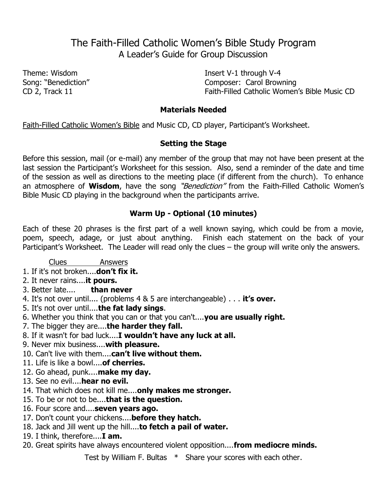# The Faith-Filled Catholic Women's Bible Study Program A Leader's Guide for Group Discussion

Theme: Wisdom Insert V-1 through V-4 Song: "Benediction" and Composer: Carol Browning CD 2, Track 11 **Example 2** Faith-Filled Catholic Women's Bible Music CD

#### **Materials Needed**

Faith-Filled Catholic Women's Bible and Music CD, CD player, Participant's Worksheet.

## **Setting the Stage**

Before this session, mail (or e-mail) any member of the group that may not have been present at the last session the Participant's Worksheet for this session. Also, send a reminder of the date and time of the session as well as directions to the meeting place (if different from the church). To enhance an atmosphere of **Wisdom**, have the song "Benediction" from the Faith-Filled Catholic Women's Bible Music CD playing in the background when the participants arrive.

## **Warm Up - Optional (10 minutes)**

Each of these 20 phrases is the first part of a well known saying, which could be from a movie, poem, speech, adage, or just about anything. Finish each statement on the back of your Participant's Worksheet. The Leader will read only the clues – the group will write only the answers.

## Clues Answers

- 1. If it's not broken....**don't fix it.**
- 2. It never rains....**it pours.**
- 3. Better late.... **than never**
- 4. It's not over until.... (problems 4 & 5 are interchangeable) . . . **it's over.**
- 5. It's not over until....**the fat lady sings**.
- 6. Whether you think that you can or that you can't....**you are usually right.**
- 7. The bigger they are....**the harder they fall.**
- 8. If it wasn't for bad luck....**I wouldn't have any luck at all.**
- 9. Never mix business....**with pleasure.**
- 10. Can't live with them....**can't live without them.**
- 11. Life is like a bowl....**of cherries.**
- 12. Go ahead, punk....**make my day.**
- 13. See no evil....**hear no evil.**
- 14. That which does not kill me....**only makes me stronger.**
- 15. To be or not to be....**that is the question.**
- 16. Four score and....**seven years ago.**
- 17. Don't count your chickens....**before they hatch.**
- 18. Jack and Jill went up the hill....**to fetch a pail of water.**
- 19. I think, therefore....**I am.**
- 20. Great spirits have always encountered violent opposition....**from mediocre minds.**

Test by William F. Bultas \* Share your scores with each other.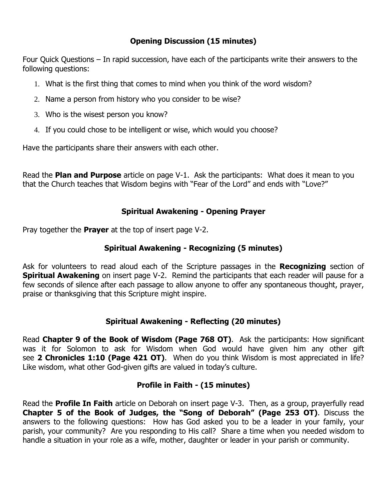## **Opening Discussion (15 minutes)**

Four Quick Questions – In rapid succession, have each of the participants write their answers to the following questions:

- 1. What is the first thing that comes to mind when you think of the word wisdom?
- 2. Name a person from history who you consider to be wise?
- 3. Who is the wisest person you know?
- 4. If you could chose to be intelligent or wise, which would you choose?

Have the participants share their answers with each other.

Read the **Plan and Purpose** article on page V-1. Ask the participants: What does it mean to you that the Church teaches that Wisdom begins with "Fear of the Lord" and ends with "Love?"

## **Spiritual Awakening - Opening Prayer**

Pray together the **Prayer** at the top of insert page V-2.

## **Spiritual Awakening - Recognizing (5 minutes)**

Ask for volunteers to read aloud each of the Scripture passages in the **Recognizing** section of **Spiritual Awakening** on insert page V-2. Remind the participants that each reader will pause for a few seconds of silence after each passage to allow anyone to offer any spontaneous thought, prayer, praise or thanksgiving that this Scripture might inspire.

## **Spiritual Awakening - Reflecting (20 minutes)**

Read **Chapter 9 of the Book of Wisdom (Page 768 OT)**. Ask the participants: How significant was it for Solomon to ask for Wisdom when God would have given him any other gift see **2 Chronicles 1:10 (Page 421 OT)**. When do you think Wisdom is most appreciated in life? Like wisdom, what other God-given gifts are valued in today's culture.

## **Profile in Faith - (15 minutes)**

Read the **Profile In Faith** article on Deborah on insert page V-3. Then, as a group, prayerfully read **Chapter 5 of the Book of Judges, the "Song of Deborah" (Page 253 OT)**. Discuss the answers to the following questions: How has God asked you to be a leader in your family, your parish, your community? Are you responding to His call? Share a time when you needed wisdom to handle a situation in your role as a wife, mother, daughter or leader in your parish or community.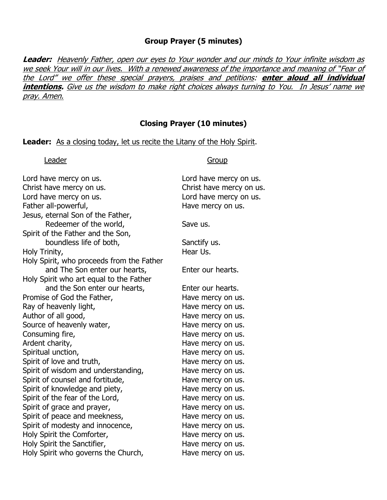#### **Group Prayer (5 minutes)**

**Leader:** Heavenly Father, open our eyes to Your wonder and our minds to Your infinite wisdom as we seek Your will in our lives. With a renewed awareness of the importance and meaning of "Fear of the Lord" we offer these special prayers, praises and petitions: **enter aloud all individual intentions.** Give us the wisdom to make right choices always turning to You. In Jesus' name we pray. Amen.

#### **Closing Prayer (10 minutes)**

#### Leader: As a closing today, let us recite the Litany of the Holy Spirit.

Leader Group

| Lord have mercy on us.                    | Lord have mercy on us.   |
|-------------------------------------------|--------------------------|
| Christ have mercy on us.                  | Christ have mercy on us. |
| Lord have mercy on us.                    | Lord have mercy on us.   |
| Father all-powerful,                      | Have mercy on us.        |
| Jesus, eternal Son of the Father,         |                          |
| Redeemer of the world,                    | Save us.                 |
| Spirit of the Father and the Son,         |                          |
| boundless life of both,                   | Sanctify us.             |
| Holy Trinity,                             | Hear Us.                 |
| Holy Spirit, who proceeds from the Father |                          |
| and The Son enter our hearts,             | Enter our hearts.        |
| Holy Spirit who art equal to the Father   |                          |
| and the Son enter our hearts,             | Enter our hearts.        |
| Promise of God the Father,                | Have mercy on us.        |
| Ray of heavenly light,                    | Have mercy on us.        |
| Author of all good,                       | Have mercy on us.        |
| Source of heavenly water,                 | Have mercy on us.        |
| Consuming fire,                           | Have mercy on us.        |
| Ardent charity,                           | Have mercy on us.        |
| Spiritual unction,                        | Have mercy on us.        |
| Spirit of love and truth,                 | Have mercy on us.        |
| Spirit of wisdom and understanding,       | Have mercy on us.        |
| Spirit of counsel and fortitude,          | Have mercy on us.        |
| Spirit of knowledge and piety,            | Have mercy on us.        |
| Spirit of the fear of the Lord,           | Have mercy on us.        |
| Spirit of grace and prayer,               | Have mercy on us.        |
| Spirit of peace and meekness,             | Have mercy on us.        |
| Spirit of modesty and innocence,          | Have mercy on us.        |
| Holy Spirit the Comforter,                | Have mercy on us.        |
| Holy Spirit the Sanctifier,               | Have mercy on us.        |
| Holy Spirit who governs the Church,       | Have mercy on us.        |